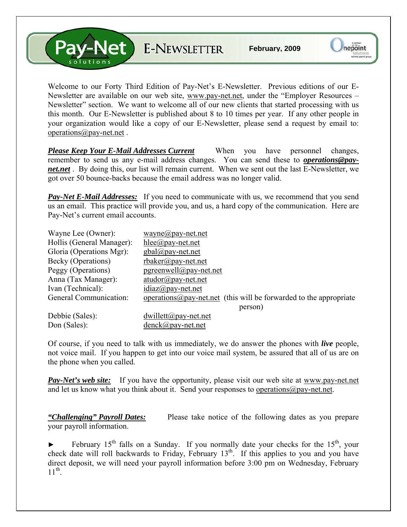V-Net E-NEWSLETTER

Welcome to our Forty Third Edition of Pay-Net's E-Newsletter. Previous editions of our E-Newsletter are available on our web site, [www.pay-net.net](http://www.pay-net.net/), under the "Employer Resources – Newsletter" section. We want to welcome all of our new clients that started processing with us this month. Our E-Newsletter is published about 8 to 10 times per year. If any other people in your organization would like a copy of our E-Newsletter, please send a request by email to: [operations@pay-net.net](mailto:operations@pay-net.net) .

*Please Keep Your E-Mail Addresses Current* When you have personnel changes, remember to send us any e-mail address changes. You can send these to *[operations@pay](mailto:operations@pay-net.net)[net.net](mailto:operations@pay-net.net)* . By doing this, our list will remain current. When we sent out the last E-Newsletter, we got over 50 bounce-backs because the email address was no longer valid.

**Pay-Net E-Mail Addresses:** If you need to communicate with us, we recommend that you send us an email. This practice will provide you, and us, a hard copy of the communication. Here are Pay-Net's current email accounts.

| Wayne Lee (Owner):        | wayne@pay-net.net                                                          |
|---------------------------|----------------------------------------------------------------------------|
| Hollis (General Manager): | $hlee(\partial p$ ay-net.net                                               |
| Gloria (Operations Mgr):  | $gbal(\partial p$ ay-net.net                                               |
| Becky (Operations)        | $r$ baker@pay-net.net                                                      |
| Peggy (Operations)        | $pgreenwell@pay-net.net$                                                   |
| Anna (Tax Manager):       | $atudor@pay-net.net$                                                       |
| Ivan (Technical):         | $idiaz(\partial p$ ay-net.net                                              |
| General Communication:    | operations $\omega$ pay-net net (this will be forwarded to the appropriate |
|                           | person)                                                                    |
| Debbie (Sales):           | $dwillet(\mathcal{Q}$ pay-net.net                                          |
| Don (Sales):              | $denck@pay-net.net$                                                        |

Of course, if you need to talk with us immediately, we do answer the phones with *live* people, not voice mail. If you happen to get into our voice mail system, be assured that all of us are on the phone when you called.

*Pay-Net's web site:* If you have the opportunity, please visit our web site at [www.pay-net.net](http://www.pay-net.net/)  and let us know what you think about it. Send your responses to [operations@pay-net.net](mailto:website@pay-net.net).

*"Challenging" Payroll Dates:* Please take notice of the following dates as you prepare your payroll information.

February  $15<sup>th</sup>$  falls on a Sunday. If you normally date your checks for the  $15<sup>th</sup>$ , your check date will roll backwards to Friday, February  $13<sup>th</sup>$ . If this applies to you and you have direct deposit, we will need your payroll information before 3:00 pm on Wednesday, February  $11^{th}$ .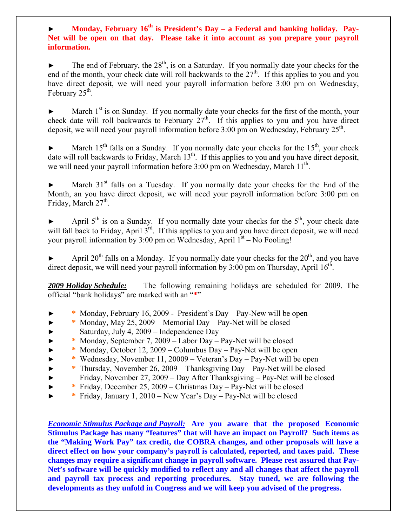## Monday, February 16<sup>th</sup> is President's Day – a Federal and banking holiday. Pay-**Net will be open on that day. Please take it into account as you prepare your payroll information.**

The end of February, the  $28<sup>th</sup>$ , is on a Saturday. If you normally date your checks for the end of the month, your check date will roll backwards to the  $27<sup>th</sup>$ . If this applies to you and you have direct deposit, we will need your payroll information before 3:00 pm on Wednesday, February  $25<sup>th</sup>$ .

 $\blacktriangleright$  March 1<sup>st</sup> is on Sunday. If you normally date your checks for the first of the month, your check date will roll backwards to February  $27<sup>th</sup>$ . If this applies to you and you have direct deposit, we will need your payroll information before  $3:00$  pm on Wednesday, February  $25<sup>th</sup>$ .

March  $15<sup>th</sup>$  falls on a Sunday. If you normally date your checks for the  $15<sup>th</sup>$ , your check date will roll backwards to Friday, March 13<sup>th</sup>. If this applies to you and you have direct deposit, we will need your payroll information before 3:00 pm on Wednesday, March 11<sup>th</sup>.

March  $31<sup>st</sup>$  falls on a Tuesday. If you normally date your checks for the End of the Month, an you have direct deposit, we will need your payroll information before 3:00 pm on Friday, March  $27<sup>th</sup>$ .

April  $5<sup>th</sup>$  is on a Sunday. If you normally date your checks for the  $5<sup>th</sup>$ , your check date will fall back to Friday, April 3<sup>rd</sup>. If this applies to you and you have direct deposit, we will need your payroll information by 3:00 pm on Wednesday, April  $1<sup>st</sup> - No Fooling!$ 

April  $20<sup>th</sup>$  falls on a Monday. If you normally date your checks for the  $20<sup>th</sup>$ , and you have direct deposit, we will need your payroll information by  $3:00$  pm on Thursday, April  $16^{th}$ .

*2009 Holiday Schedule:* The following remaining holidays are scheduled for 2009. The official "bank holidays" are marked with an "**\***"

- ► **\*** Monday, February 16, 2009 President's Day Pay-New will be open
- ► **\*** Monday, May 25, 2009 Memorial Day Pay-Net will be closed Saturday, July 4,  $2009$  – Independence Day
- ► **\*** Monday, September 7, 2009 Labor Day Pay-Net will be closed
- ► **\*** Monday, October 12, 2009 Columbus Day Pay-Net will be open
- ► **\*** Wednesday, November 11, 20009 Veteran's Day Pay-Net will be open
- ► **\*** Thursday, November 26, 2009 Thanksgiving Day Pay-Net will be closed
- ► Friday, November 27, 2009 Day After Thanksgiving Pay-Net will be closed
- ► **\*** Friday, December 25, 2009 Christmas Day Pay-Net will be closed
- ► **\*** Friday, January 1, 2010 New Year's Day Pay-Net will be closed

*Economic Stimulus Package and Payroll:* **Are you aware that the proposed Economic Stimulus Package has many "features" that will have an impact on Payroll? Such items as the "Making Work Pay" tax credit, the COBRA changes, and other proposals will have a direct effect on how your company's payroll is calculated, reported, and taxes paid. These changes may require a significant change in payroll software. Please rest assured that Pay-Net's software will be quickly modified to reflect any and all changes that affect the payroll and payroll tax process and reporting procedures. Stay tuned, we are following the developments as they unfold in Congress and we will keep you advised of the progress.**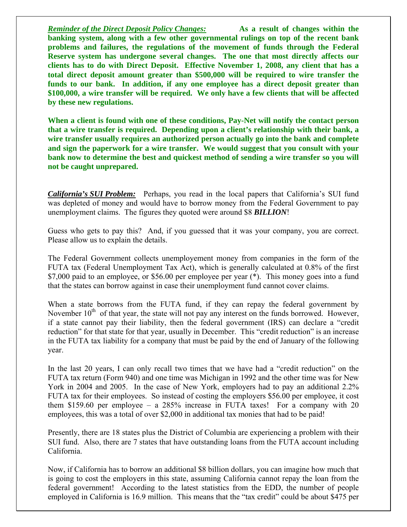*Reminder of the Direct <u>Deposit Policy Changes:</u>* As a result of changes within the **banking system, along with a few other governmental rulings on top of the recent bank problems and failures, the regulations of the movement of funds through the Federal Reserve system has undergone several changes. The one that most directly affects our clients has to do with Direct Deposit. Effective November 1, 2008, any client that has a total direct deposit amount greater than \$500,000 will be required to wire transfer the funds to our bank. In addition, if any one employee has a direct deposit greater than \$100,000, a wire transfer will be required. We only have a few clients that will be affected by these new regulations.** 

**When a client is found with one of these conditions, Pay-Net will notify the contact person that a wire transfer is required. Depending upon a client's relationship with their bank, a wire transfer usually requires an authorized person actually go into the bank and complete and sign the paperwork for a wire transfer. We would suggest that you consult with your**  bank now to determine the best and quickest method of sending a wire transfer so you will **not be caught unprepared.**

*California's SUI Problem:* Perhaps, you read in the local papers that California's SUI fund was depleted of money and would have to borrow money from the Federal Government to pay unemployment claims. The figures they quoted were around \$8 *BILLION*!

Guess who gets to pay this? And, if you guessed that it was your company, you are correct. Please allow us to explain the details.

The Federal Government collects unemployement money from companies in the form of the FUTA tax (Federal Unemployment Tax Act), which is generally calculated at 0.8% of the first \$7,000 paid to an employee, or \$56.00 per employee per year (\*). This money goes into a fund that the states can borrow against in case their unemployment fund cannot cover claims.

When a state borrows from the FUTA fund, if they can repay the federal government by November  $10<sup>th</sup>$  of that year, the state will not pay any interest on the funds borrowed. However, if a state cannot pay their liability, then the federal government (IRS) can declare a "credit reduction" for that state for that year, usually in December. This "credit reduction" is an increase in the FUTA tax liability for a company that must be paid by the end of January of the following year.

In the last 20 years, I can only recall two times that we have had a "credit reduction" on the FUTA tax return (Form 940) and one time was Michigan in 1992 and the other time was for New York in 2004 and 2005. In the case of New York, employers had to pay an additional 2.2% FUTA tax for their employees. So instead of costing the employers \$56.00 per employee, it cost them \$159.60 per employee – a 285% increase in FUTA taxes! For a company with 20 employees, this was a total of over \$2,000 in additional tax monies that had to be paid!

Presently, there are 18 states plus the District of Columbia are experiencing a problem with their SUI fund. Also, there are 7 states that have outstanding loans from the FUTA account including California.

Now, if California has to borrow an additional \$8 billion dollars, you can imagine how much that is going to cost the employers in this state, assuming California cannot repay the loan from the federal government! According to the latest statistics from the EDD, the number of people employed in California is 16.9 million. This means that the "tax credit" could be about \$475 per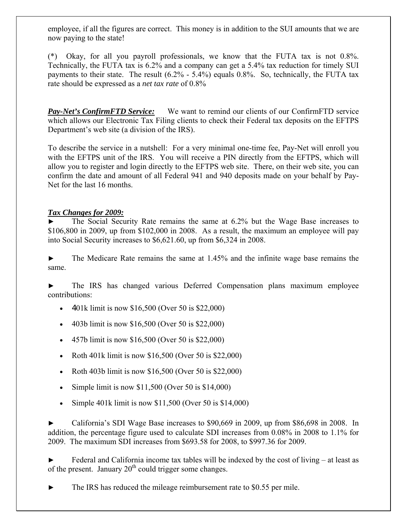employee, if all the figures are correct. This money is in addition to the SUI amounts that we are now paying to the state!

(\*) Okay, for all you payroll professionals, we know that the FUTA tax is not 0.8%. Technically, the FUTA tax is 6.2% and a company can get a 5.4% tax reduction for timely SUI payments to their state. The result (6.2% - 5.4%) equals 0.8%. So, technically, the FUTA tax rate should be expressed as a *net tax rate* of 0.8%

*Pay-Net's ConfirmFTD Service:* We want to remind our clients of our ConfirmFTD service which allows our Electronic Tax Filing clients to check their Federal tax deposits on the EFTPS Department's web site (a division of the IRS).

To describe the service in a nutshell: For a very minimal one-time fee, Pay-Net will enroll you with the EFTPS unit of the IRS. You will receive a PIN directly from the EFTPS, which will allow you to register and login directly to the EFTPS web site. There, on their web site, you can confirm the date and amount of all Federal 941 and 940 deposits made on your behalf by Pay-Net for the last 16 months.

## *Tax Changes for 2009:*

The Social Security Rate remains the same at 6.2% but the Wage Base increases to \$106,800 in 2009, up from \$102,000 in 2008. As a result, the maximum an employee will pay into Social Security increases to \$6,621.60, up from \$6,324 in 2008.

► The Medicare Rate remains the same at 1.45% and the infinite wage base remains the same.

► The IRS has changed various Deferred Compensation plans maximum employee contributions:

- 401k limit is now \$16,500 (Over 50 is \$22,000)
- 403b limit is now \$16,500 (Over 50 is \$22,000)
- 457b limit is now \$16,500 (Over 50 is \$22,000)
- Roth 401k limit is now \$16,500 (Over 50 is \$22,000)
- Roth 403b limit is now \$16,500 (Over 50 is \$22,000)
- Simple limit is now  $$11,500$  (Over 50 is  $$14,000$ )
- Simple 401k limit is now \$11,500 (Over 50 is \$14,000)

► California's SDI Wage Base increases to \$90,669 in 2009, up from \$86,698 in 2008. In addition, the percentage figure used to calculate SDI increases from 0.08% in 2008 to 1.1% for 2009. The maximum SDI increases from \$693.58 for 2008, to \$997.36 for 2009.

Federal and California income tax tables will be indexed by the cost of living – at least as of the present. January  $20<sup>th</sup>$  could trigger some changes.

The IRS has reduced the mileage reimbursement rate to \$0.55 per mile.